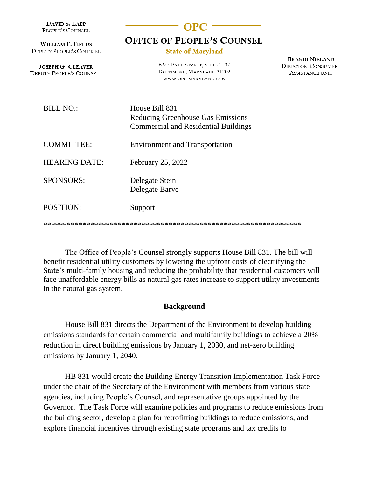| DAVID S. LAPP<br>PEOPLE'S COUNSEL                   |                                                                                                      |                                                                       |
|-----------------------------------------------------|------------------------------------------------------------------------------------------------------|-----------------------------------------------------------------------|
| <b>WILLIAM F. FIELDS</b><br>DEPUTY PEOPLE'S COUNSEL | <b>OFFICE OF PEOPLE'S COUNSEL</b><br><b>State of Maryland</b>                                        |                                                                       |
| <b>JOSEPH G. CLEAVER</b><br>DEPUTY PEOPLE'S COUNSEL | 6 ST. PAUL STREET, SUITE 2102<br>BALTIMORE, MARYLAND 21202<br>WWW.OPC.MARYLAND.GOV                   | <b>BRANDI NIELAND</b><br>DIRECTOR, CONSUMER<br><b>ASSISTANCE UNIT</b> |
| <b>BILL NO.:</b>                                    | House Bill 831<br>Reducing Greenhouse Gas Emissions –<br><b>Commercial and Residential Buildings</b> |                                                                       |
| <b>COMMITTEE:</b>                                   | <b>Environment and Transportation</b>                                                                |                                                                       |
| <b>HEARING DATE:</b>                                | February 25, 2022                                                                                    |                                                                       |
| <b>SPONSORS:</b>                                    | Delegate Stein<br>Delegate Barve                                                                     |                                                                       |
| <b>POSITION:</b>                                    | Support                                                                                              |                                                                       |
|                                                     |                                                                                                      |                                                                       |

The Office of People's Counsel strongly supports House Bill 831. The bill will benefit residential utility customers by lowering the upfront costs of electrifying the State's multi-family housing and reducing the probability that residential customers will face unaffordable energy bills as natural gas rates increase to support utility investments in the natural gas system.

\*\*\*\*\*\*\*\*\*\*\*\*\*\*\*\*\*\*\*\*\*\*\*\*\*\*\*\*\*\*\*\*\*\*\*\*\*\*\*\*\*\*\*\*\*\*\*\*\*\*\*\*\*\*\*\*\*\*\*\*\*\*\*\*\*\*

## **Background**

House Bill 831 directs the Department of the Environment to develop building emissions standards for certain commercial and multifamily buildings to achieve a 20% reduction in direct building emissions by January 1, 2030, and net-zero building emissions by January 1, 2040.

HB 831 would create the Building Energy Transition Implementation Task Force under the chair of the Secretary of the Environment with members from various state agencies, including People's Counsel, and representative groups appointed by the Governor. The Task Force will examine policies and programs to reduce emissions from the building sector, develop a plan for retrofitting buildings to reduce emissions, and explore financial incentives through existing state programs and tax credits to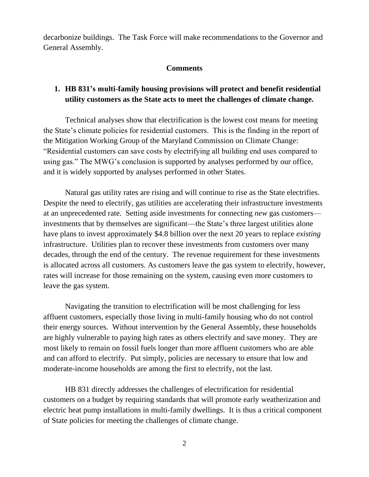decarbonize buildings. The Task Force will make recommendations to the Governor and General Assembly.

## **Comments**

## **1. HB 831's multi-family housing provisions will protect and benefit residential utility customers as the State acts to meet the challenges of climate change.**

Technical analyses show that electrification is the lowest cost means for meeting the State's climate policies for residential customers. This is the finding in the report of the Mitigation Working Group of the Maryland Commission on Climate Change: "Residential customers can save costs by electrifying all building end uses compared to using gas." The MWG's conclusion is supported by analyses performed by our office, and it is widely supported by analyses performed in other States.

Natural gas utility rates are rising and will continue to rise as the State electrifies. Despite the need to electrify, gas utilities are accelerating their infrastructure investments at an unprecedented rate. Setting aside investments for connecting *new* gas customers investments that by themselves are significant—the State's three largest utilities alone have plans to invest approximately \$4.8 billion over the next 20 years to replace *existing* infrastructure. Utilities plan to recover these investments from customers over many decades, through the end of the century. The revenue requirement for these investments is allocated across all customers. As customers leave the gas system to electrify, however, rates will increase for those remaining on the system, causing even more customers to leave the gas system.

Navigating the transition to electrification will be most challenging for less affluent customers, especially those living in multi-family housing who do not control their energy sources. Without intervention by the General Assembly, these households are highly vulnerable to paying high rates as others electrify and save money. They are most likely to remain on fossil fuels longer than more affluent customers who are able and can afford to electrify. Put simply, policies are necessary to ensure that low and moderate-income households are among the first to electrify, not the last.

HB 831 directly addresses the challenges of electrification for residential customers on a budget by requiring standards that will promote early weatherization and electric heat pump installations in multi-family dwellings. It is thus a critical component of State policies for meeting the challenges of climate change.